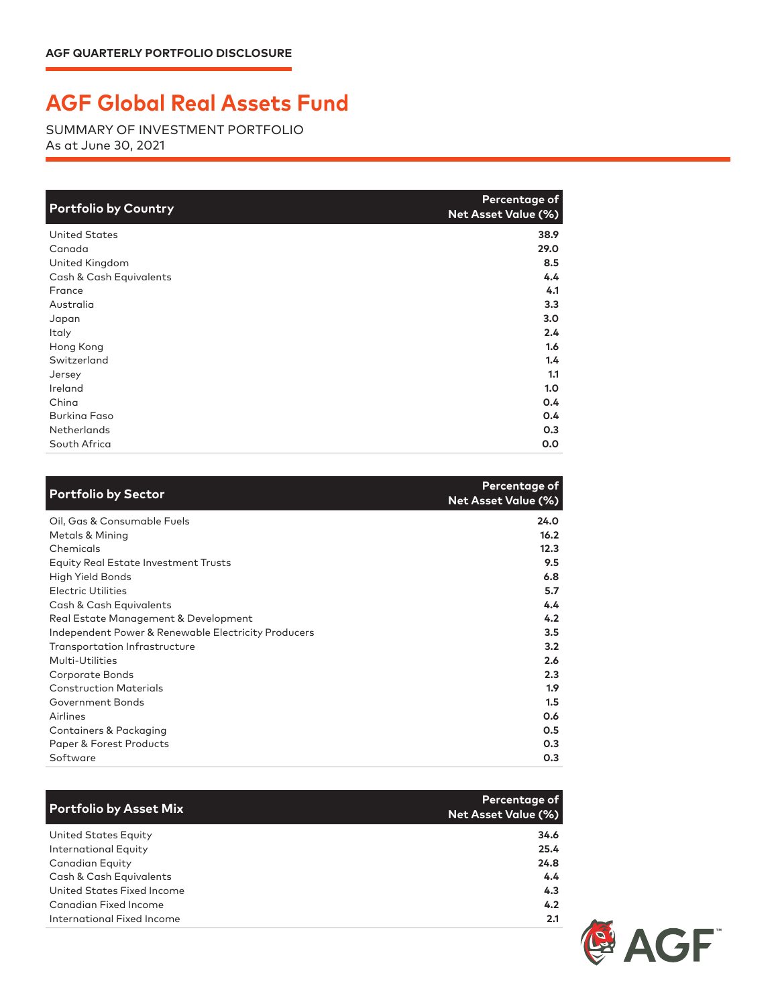## **AGF Global Real Assets Fund**

SUMMARY OF INVESTMENT PORTFOLIO As at June 30, 2021

| <b>Portfolio by Country</b> | Percentage of<br><b>Net Asset Value (%)</b> |
|-----------------------------|---------------------------------------------|
| <b>United States</b>        | 38.9                                        |
| Canada                      | 29.0                                        |
| United Kingdom              | 8.5                                         |
| Cash & Cash Equivalents     | 4.4                                         |
| France                      | 4.1                                         |
| Australia                   | 3.3                                         |
| Japan                       | 3.0                                         |
| Italy                       | 2.4                                         |
| Hong Kong                   | 1.6                                         |
| Switzerland                 | 1.4                                         |
| Jersey                      | 1.1                                         |
| Ireland                     | 1.0                                         |
| China                       | 0.4                                         |
| <b>Burking Faso</b>         | 0.4                                         |
| <b>Netherlands</b>          | 0.3                                         |
| South Africa                | 0.0                                         |

| <b>Portfolio by Sector</b>                          | Percentage of<br><b>Net Asset Value (%)</b> |
|-----------------------------------------------------|---------------------------------------------|
| Oil, Gas & Consumable Fuels                         | 24.0                                        |
| Metals & Mining                                     | 16.2                                        |
| Chemicals                                           | 12.3                                        |
| <b>Equity Real Estate Investment Trusts</b>         | 9.5                                         |
| High Yield Bonds                                    | 6.8                                         |
| <b>Electric Utilities</b>                           | 5.7                                         |
| Cash & Cash Equivalents                             | 4.4                                         |
| Real Estate Management & Development                | 4.2                                         |
| Independent Power & Renewable Electricity Producers | 3.5                                         |
| Transportation Infrastructure                       | 3.2                                         |
| Multi-Utilities                                     | 2.6                                         |
| Corporate Bonds                                     | 2.3                                         |
| <b>Construction Materials</b>                       | 1.9                                         |
| Government Bonds                                    | 1.5                                         |
| Airlines                                            | 0.6                                         |
| Containers & Packaging                              | 0.5                                         |
| Paper & Forest Products                             | 0.3                                         |
| Software                                            | 0.3                                         |

| <b>Portfolio by Asset Mix</b> | Percentage of<br><b>Net Asset Value (%)</b> |
|-------------------------------|---------------------------------------------|
| United States Equity          | 34.6                                        |
| <b>International Equity</b>   | 25.4                                        |
| Canadian Equity               | 24.8                                        |
| Cash & Cash Equivalents       | $4.4^{\circ}$                               |
| United States Fixed Income    | 4.3                                         |
| Canadian Fixed Income         | 4.2                                         |
| International Fixed Income    | 2.1                                         |